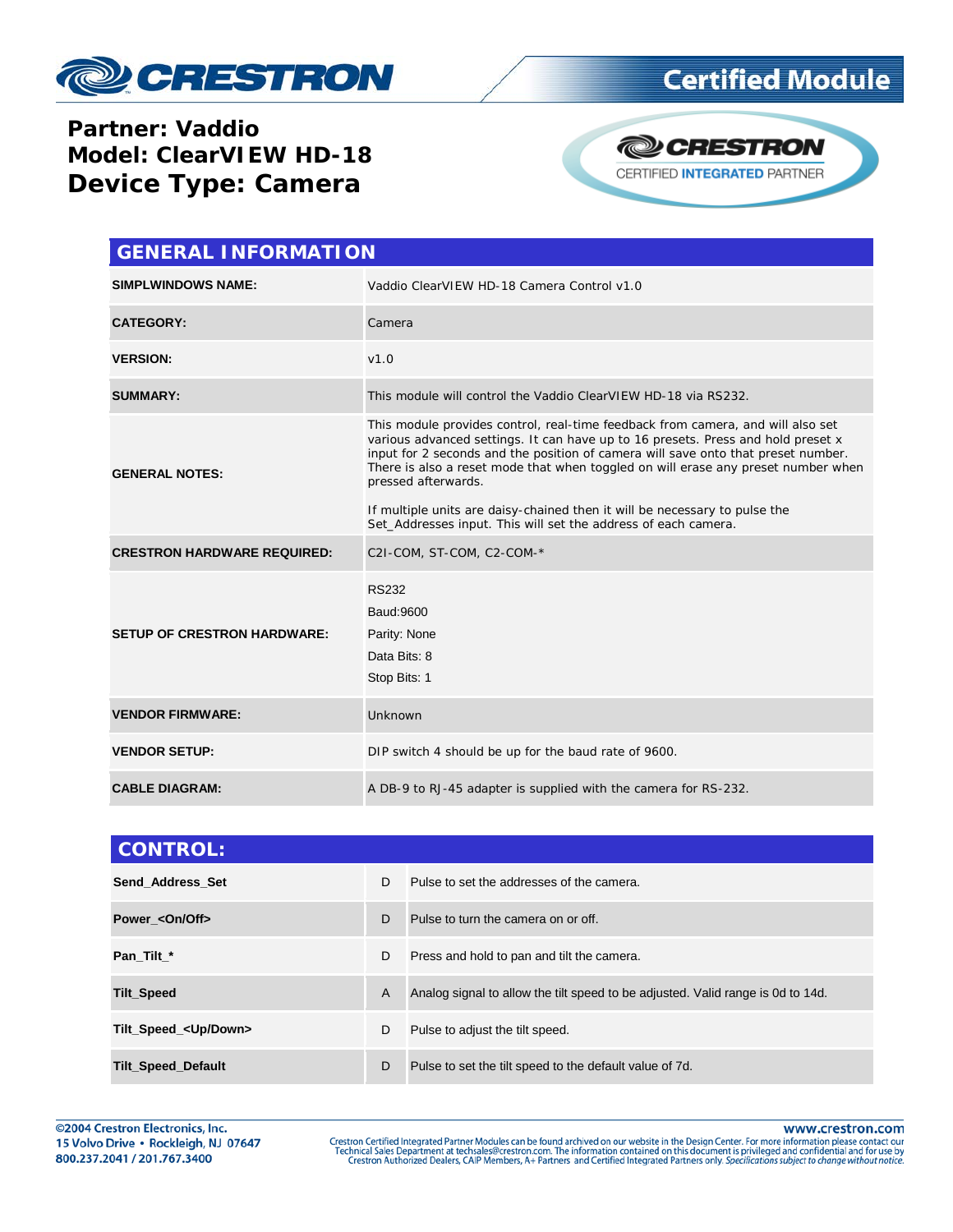

## **Certified Module**

#### **Partner: Vaddio Model: ClearVIEW HD-18 Device Type: Camera**



| <b>GENERAL INFORMATION</b>         |                                                                                                                                                                                                                                                                                                                                                                                                                                                                                                                      |  |
|------------------------------------|----------------------------------------------------------------------------------------------------------------------------------------------------------------------------------------------------------------------------------------------------------------------------------------------------------------------------------------------------------------------------------------------------------------------------------------------------------------------------------------------------------------------|--|
| <b>SIMPLWINDOWS NAME:</b>          | Vaddio ClearVIEW HD-18 Camera Control v1.0                                                                                                                                                                                                                                                                                                                                                                                                                                                                           |  |
| <b>CATEGORY:</b>                   | Camera                                                                                                                                                                                                                                                                                                                                                                                                                                                                                                               |  |
| <b>VERSION:</b>                    | V1.0                                                                                                                                                                                                                                                                                                                                                                                                                                                                                                                 |  |
| <b>SUMMARY:</b>                    | This module will control the Vaddio ClearVIEW HD-18 via RS232.                                                                                                                                                                                                                                                                                                                                                                                                                                                       |  |
| <b>GENERAL NOTES:</b>              | This module provides control, real-time feedback from camera, and will also set<br>various advanced settings. It can have up to 16 presets. Press and hold preset x<br>input for 2 seconds and the position of camera will save onto that preset number.<br>There is also a reset mode that when toggled on will erase any preset number when<br>pressed afterwards.<br>If multiple units are daisy-chained then it will be necessary to pulse the<br>Set_Addresses input. This will set the address of each camera. |  |
| <b>CRESTRON HARDWARE REQUIRED:</b> | C2I-COM, ST-COM, C2-COM-*                                                                                                                                                                                                                                                                                                                                                                                                                                                                                            |  |
| <b>SETUP OF CRESTRON HARDWARE:</b> | <b>RS232</b><br>Baud: 9600<br>Parity: None<br>Data Bits: 8<br>Stop Bits: 1                                                                                                                                                                                                                                                                                                                                                                                                                                           |  |
| <b>VENDOR FIRMWARE:</b>            | Unknown                                                                                                                                                                                                                                                                                                                                                                                                                                                                                                              |  |
| <b>VENDOR SETUP:</b>               | DIP switch 4 should be up for the baud rate of 9600.                                                                                                                                                                                                                                                                                                                                                                                                                                                                 |  |
| <b>CABLE DIAGRAM:</b>              | A DB-9 to RJ-45 adapter is supplied with the camera for RS-232.                                                                                                                                                                                                                                                                                                                                                                                                                                                      |  |

| <b>CONTROL:</b>               |    |                                                                                 |
|-------------------------------|----|---------------------------------------------------------------------------------|
| Send Address Set              | D. | Pulse to set the addresses of the camera.                                       |
| Power < On/Off>               | D  | Pulse to turn the camera on or off.                                             |
| Pan Tilt *                    | D  | Press and hold to pan and tilt the camera.                                      |
| <b>Tilt_Speed</b>             | A  | Analog signal to allow the tilt speed to be adjusted. Valid range is 0d to 14d. |
| Tilt_Speed_ <up down=""></up> | D  | Pulse to adjust the tilt speed.                                                 |
| <b>Tilt_Speed_Default</b>     | D  | Pulse to set the tilt speed to the default value of 7d.                         |

www.crestron.com

Crestron Certified Integrated Partner Modules can be found archived on our website in the Design Center. For more information please contact our<br>Technical Sales Department at techsales@crestron.com. The information contain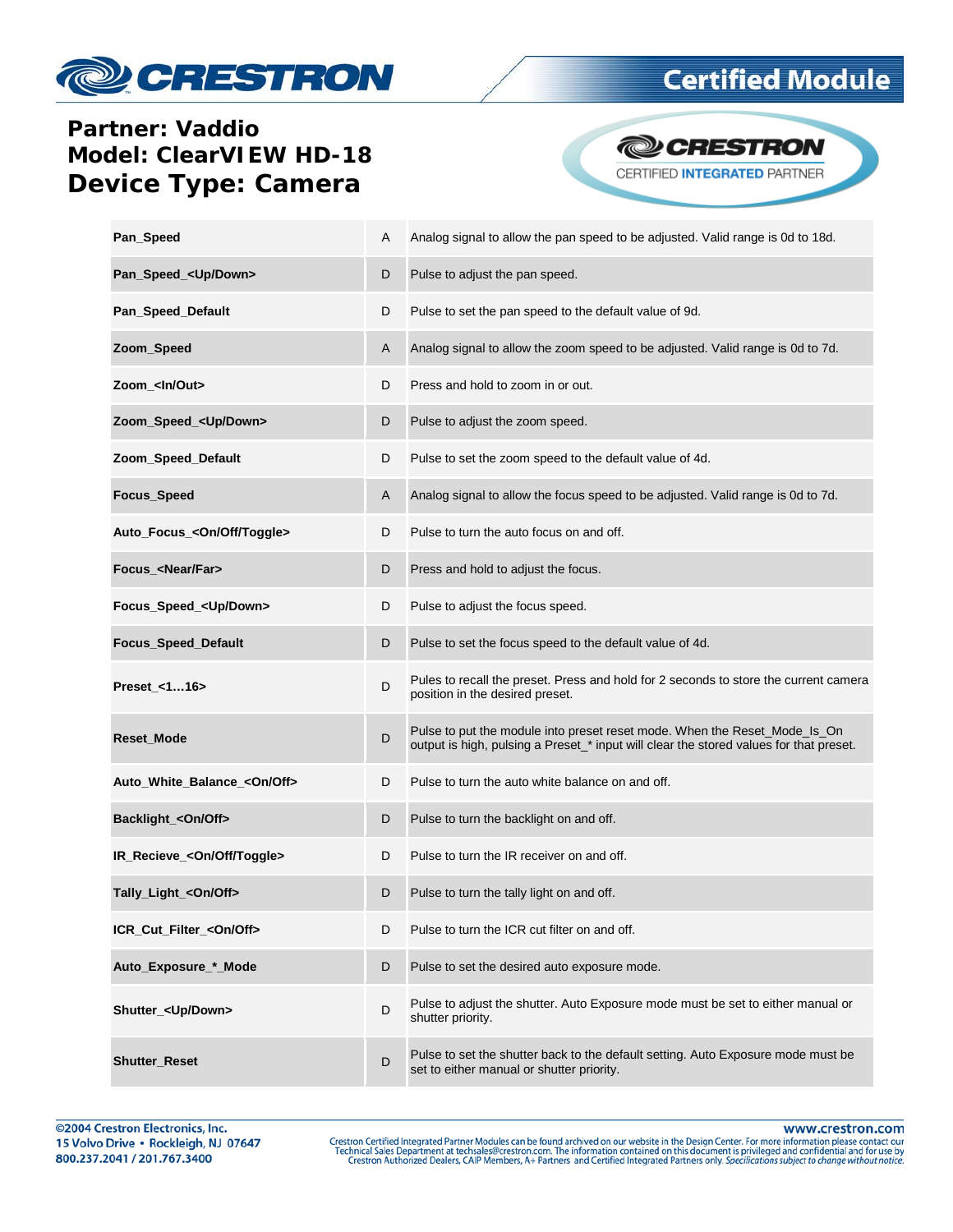# **CRESTRON**

## **Certified Module**

### **Partner: Vaddio Model: ClearVIEW HD-18 Device Type: Camera**



| Pan_Speed                              | Α | Analog signal to allow the pan speed to be adjusted. Valid range is 0d to 18d.                                                                                      |
|----------------------------------------|---|---------------------------------------------------------------------------------------------------------------------------------------------------------------------|
| Pan_Speed_ <up down=""></up>           | D | Pulse to adjust the pan speed.                                                                                                                                      |
| Pan_Speed_Default                      | D | Pulse to set the pan speed to the default value of 9d.                                                                                                              |
| Zoom_Speed                             | Α | Analog signal to allow the zoom speed to be adjusted. Valid range is 0d to 7d.                                                                                      |
| Zoom_ <ln out=""></ln>                 | D | Press and hold to zoom in or out.                                                                                                                                   |
| Zoom_Speed_ <up down=""></up>          | D | Pulse to adjust the zoom speed.                                                                                                                                     |
| Zoom_Speed_Default                     | D | Pulse to set the zoom speed to the default value of 4d.                                                                                                             |
| Focus_Speed                            | Α | Analog signal to allow the focus speed to be adjusted. Valid range is 0d to 7d.                                                                                     |
| Auto_Focus_ <on off="" toggle=""></on> | D | Pulse to turn the auto focus on and off.                                                                                                                            |
| Focus <near far=""></near>             | D | Press and hold to adjust the focus.                                                                                                                                 |
| Focus_Speed_ <up down=""></up>         | D | Pulse to adjust the focus speed.                                                                                                                                    |
| Focus_Speed_Default                    | D | Pulse to set the focus speed to the default value of 4d.                                                                                                            |
| Preset_<116>                           | D | Pules to recall the preset. Press and hold for 2 seconds to store the current camera<br>position in the desired preset.                                             |
| Reset_Mode                             | D | Pulse to put the module into preset reset mode. When the Reset_Mode_Is_On<br>output is high, pulsing a Preset_* input will clear the stored values for that preset. |
| Auto_White_Balance_ <on off=""></on>   | D | Pulse to turn the auto white balance on and off.                                                                                                                    |
| Backlight_<0n/0ff>                     | D | Pulse to turn the backlight on and off.                                                                                                                             |
| IR_Recieve_ <on off="" toggle=""></on> | D | Pulse to turn the IR receiver on and off.                                                                                                                           |
| Tally_Light_ <on off=""></on>          | D | Pulse to turn the tally light on and off.                                                                                                                           |
| ICR_Cut_Filter_ <on off=""></on>       | D | Pulse to turn the ICR cut filter on and off.                                                                                                                        |
| Auto Exposure * Mode                   | D | Pulse to set the desired auto exposure mode.                                                                                                                        |
| Shutter_ <up down=""></up>             | D | Pulse to adjust the shutter. Auto Exposure mode must be set to either manual or<br>shutter priority.                                                                |
| <b>Shutter_Reset</b>                   | D | Pulse to set the shutter back to the default setting. Auto Exposure mode must be<br>set to either manual or shutter priority.                                       |

www.crestron.com

Crestron Certified Integrated Partner Modules can be found archived on our website in the Design Center. For more information please contact our<br>Technical Sales Department at techsales@crestron.com. The information contain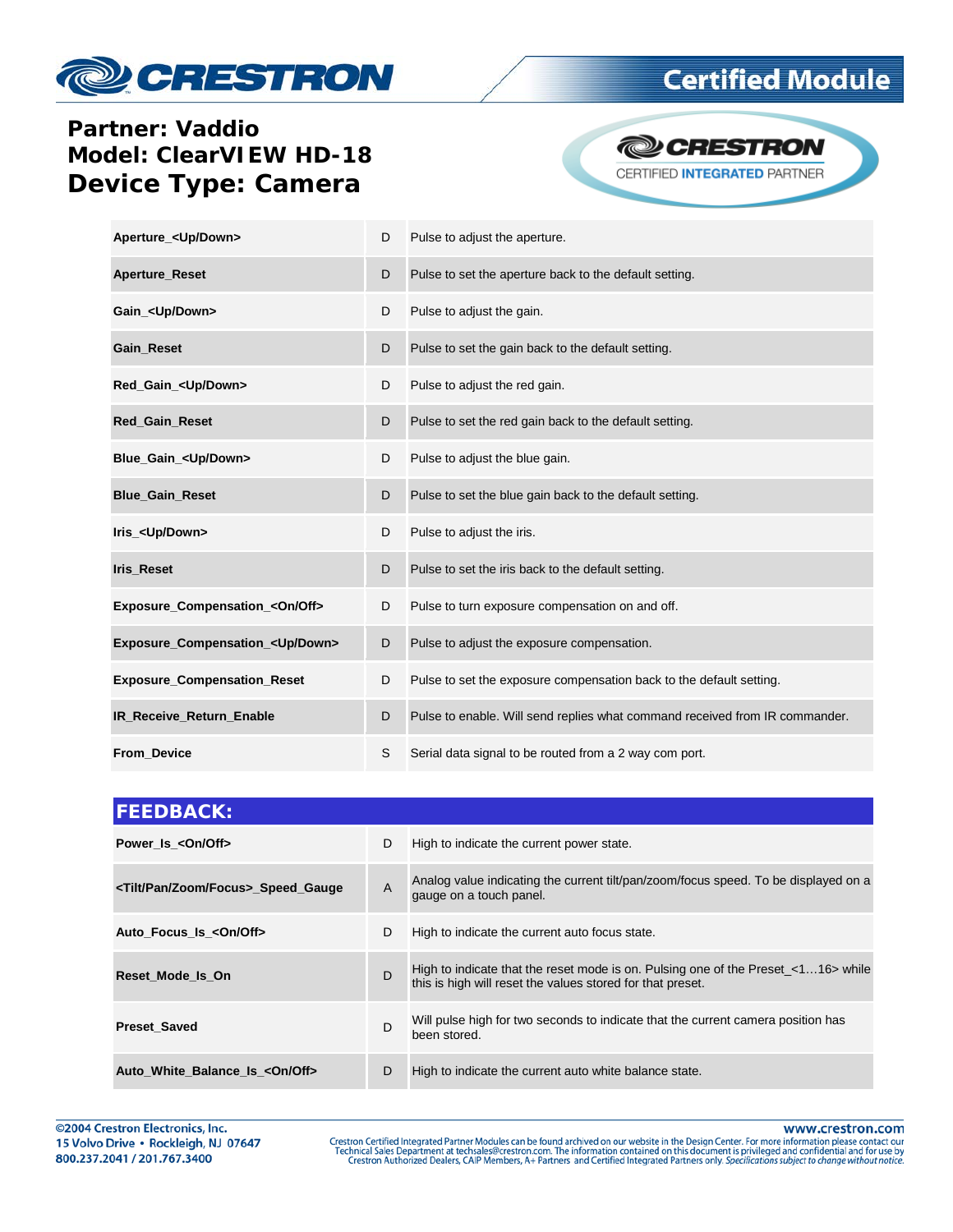# **CRESTRON**

## **Certified Module**

### **Partner: Vaddio Model: ClearVIEW HD-18 Device Type: Camera**



| Aperture_ <up down=""></up>              | D | Pulse to adjust the aperture.                                               |
|------------------------------------------|---|-----------------------------------------------------------------------------|
| <b>Aperture_Reset</b>                    | D | Pulse to set the aperture back to the default setting.                      |
| Gain <up down=""></up>                   | D | Pulse to adjust the gain.                                                   |
| <b>Gain Reset</b>                        | D | Pulse to set the gain back to the default setting.                          |
| Red_Gain_ <up down=""></up>              | D | Pulse to adjust the red gain.                                               |
| Red_Gain_Reset                           | D | Pulse to set the red gain back to the default setting.                      |
| Blue_Gain_ <up down=""></up>             | D | Pulse to adjust the blue gain.                                              |
| <b>Blue_Gain_Reset</b>                   | D | Pulse to set the blue gain back to the default setting.                     |
| Iris <up down=""></up>                   | D | Pulse to adjust the iris.                                                   |
| Iris_Reset                               | D | Pulse to set the iris back to the default setting.                          |
| Exposure_Compensation_ <on off=""></on>  | D | Pulse to turn exposure compensation on and off.                             |
| Exposure_Compensation_ <up down=""></up> | D | Pulse to adjust the exposure compensation.                                  |
| <b>Exposure_Compensation_Reset</b>       | D | Pulse to set the exposure compensation back to the default setting.         |
| IR_Receive_Return_Enable                 | D | Pulse to enable. Will send replies what command received from IR commander. |
| From_Device                              | S | Serial data signal to be routed from a 2 way com port.                      |

| <b>FEEDBACK:</b>                                  |   |                                                                                                                                                 |
|---------------------------------------------------|---|-------------------------------------------------------------------------------------------------------------------------------------------------|
| Power_Is_ <on off=""></on>                        | D | High to indicate the current power state.                                                                                                       |
| <tilt focus="" pan="" zoom=""> Speed Gauge</tilt> | A | Analog value indicating the current tilt/pan/zoom/focus speed. To be displayed on a<br>gauge on a touch panel.                                  |
| Auto Focus Is <0n/0ff>                            | D | High to indicate the current auto focus state.                                                                                                  |
| Reset Mode Is On                                  | D | High to indicate that the reset mode is on. Pulsing one of the Preset <116> while<br>this is high will reset the values stored for that preset. |
| <b>Preset Saved</b>                               | D | Will pulse high for two seconds to indicate that the current camera position has<br>been stored.                                                |
| Auto White Balance Is < On/Off>                   | D | High to indicate the current auto white balance state.                                                                                          |

www.crestron.com

Crestron Certified Integrated Partner Modules can be found archived on our website in the Design Center. For more information please contact our<br>Technical Sales Department at techsales@crestron.com. The information contain